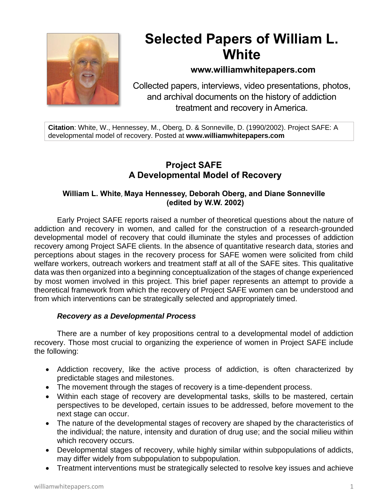

# **Selected Papers of William L. White**

# **www.williamwhitepapers.com**

Collected papers, interviews, video presentations, photos, and archival documents on the history of addiction treatment and recovery in America.

**Citation**: White, W., Hennessey, M., Oberg, D. & Sonneville, D. (1990/2002). Project SAFE: A developmental model of recovery. Posted at **www.williamwhitepapers.com**

# **Project SAFE A Developmental Model of Recovery**

# **William L. White**, **Maya Hennessey, Deborah Oberg, and Diane Sonneville (edited by W.W. 2002)**

Early Project SAFE reports raised a number of theoretical questions about the nature of addiction and recovery in women, and called for the construction of a research-grounded developmental model of recovery that could illuminate the styles and processes of addiction recovery among Project SAFE clients. In the absence of quantitative research data, stories and perceptions about stages in the recovery process for SAFE women were solicited from child welfare workers, outreach workers and treatment staff at all of the SAFE sites. This qualitative data was then organized into a beginning conceptualization of the stages of change experienced by most women involved in this project. This brief paper represents an attempt to provide a theoretical framework from which the recovery of Project SAFE women can be understood and from which interventions can be strategically selected and appropriately timed.

# *Recovery as a Developmental Process*

There are a number of key propositions central to a developmental model of addiction recovery. Those most crucial to organizing the experience of women in Project SAFE include the following:

- Addiction recovery, like the active process of addiction, is often characterized by predictable stages and milestones.
- The movement through the stages of recovery is a time-dependent process.
- Within each stage of recovery are developmental tasks, skills to be mastered, certain perspectives to be developed, certain issues to be addressed, before movement to the next stage can occur.
- The nature of the developmental stages of recovery are shaped by the characteristics of the individual; the nature, intensity and duration of drug use; and the social milieu within which recovery occurs.
- Developmental stages of recovery, while highly similar within subpopulations of addicts, may differ widely from subpopulation to subpopulation.
- Treatment interventions must be strategically selected to resolve key issues and achieve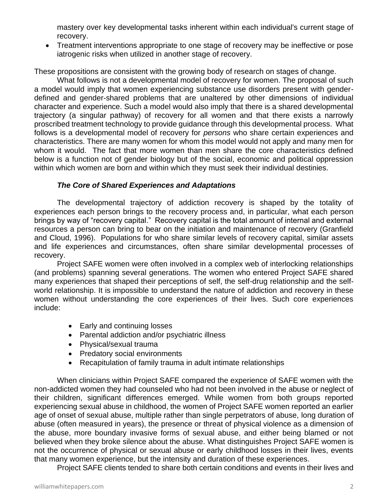mastery over key developmental tasks inherent within each individual's current stage of recovery.

• Treatment interventions appropriate to one stage of recovery may be ineffective or pose iatrogenic risks when utilized in another stage of recovery.

These propositions are consistent with the growing body of research on stages of change.

What follows is not a developmental model of recovery for women. The proposal of such a model would imply that women experiencing substance use disorders present with genderdefined and gender-shared problems that are unaltered by other dimensions of individual character and experience. Such a model would also imply that there is a shared developmental trajectory (a singular pathway) of recovery for all women and that there exists a narrowly proscribed treatment technology to provide guidance through this developmental process. What follows is a developmental model of recovery for *persons* who share certain experiences and characteristics. There are many women for whom this model would not apply and many men for whom it would. The fact that more women than men share the core characteristics defined below is a function not of gender biology but of the social, economic and political oppression within which women are born and within which they must seek their individual destinies.

# *The Core of Shared Experiences and Adaptations*

The developmental trajectory of addiction recovery is shaped by the totality of experiences each person brings to the recovery process and, in particular, what each person brings by way of "recovery capital." Recovery capital is the total amount of internal and external resources a person can bring to bear on the initiation and maintenance of recovery (Granfield and Cloud, 1996). Populations for who share similar levels of recovery capital, similar assets and life experiences and circumstances, often share similar developmental processes of recovery.

Project SAFE women were often involved in a complex web of interlocking relationships (and problems) spanning several generations. The women who entered Project SAFE shared many experiences that shaped their perceptions of self, the self-drug relationship and the selfworld relationship. It is impossible to understand the nature of addiction and recovery in these women without understanding the core experiences of their lives. Such core experiences include:

- Early and continuing losses
- Parental addiction and/or psychiatric illness
- Physical/sexual trauma
- Predatory social environments
- Recapitulation of family trauma in adult intimate relationships

When clinicians within Project SAFE compared the experience of SAFE women with the non-addicted women they had counseled who had not been involved in the abuse or neglect of their children, significant differences emerged. While women from both groups reported experiencing sexual abuse in childhood, the women of Project SAFE women reported an earlier age of onset of sexual abuse, multiple rather than single perpetrators of abuse, long duration of abuse (often measured in years), the presence or threat of physical violence as a dimension of the abuse, more boundary invasive forms of sexual abuse, and either being blamed or not believed when they broke silence about the abuse. What distinguishes Project SAFE women is not the occurrence of physical or sexual abuse or early childhood losses in their lives, events that many women experience, but the intensity and duration of these experiences.

Project SAFE clients tended to share both certain conditions and events in their lives and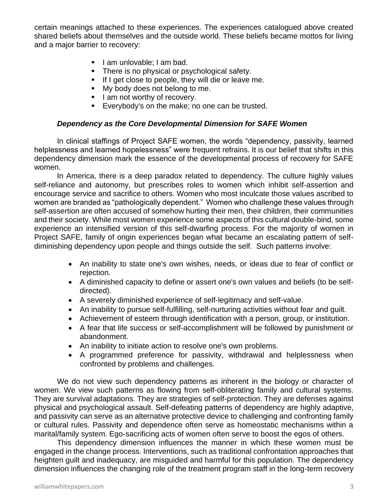certain meanings attached to these experiences. The experiences catalogued above created shared beliefs about themselves and the outside world. These beliefs became mottos for living and a major barrier to recovery:

- I am unlovable; I am bad.
- **•** There is no physical or psychological safety.
- **.** If I get close to people, they will die or leave me.
- My body does not belong to me.
- **E** I am not worthy of recovery.
- **Exerybody's on the make; no one can be trusted.**

## *Dependency as the Core Developmental Dimension for SAFE Women*

In clinical staffings of Project SAFE women, the words "dependency, passivity, learned helplessness and learned hopelessness" were frequent refrains. It is our belief that shifts in this dependency dimension mark the essence of the developmental process of recovery for SAFE women.

In America, there is a deep paradox related to dependency. The culture highly values self-reliance and autonomy, but prescribes roles to women which inhibit self-assertion and encourage service and sacrifice to others. Women who most inculcate those values ascribed to women are branded as "pathologically dependent." Women who challenge these values through self-assertion are often accused of somehow hurting their men, their children, their communities and their society. While most women experience some aspects of this cultural double-bind, some experience an intensified version of this self-dwarfing process. For the majority of women in Project SAFE, family of origin experiences began what became an escalating pattern of selfdiminishing dependency upon people and things outside the self. Such patterns involve:

- An inability to state one's own wishes, needs, or ideas due to fear of conflict or rejection.
- A diminished capacity to define or assert one's own values and beliefs (to be selfdirected).
- A severely diminished experience of self-legitimacy and self-value.
- An inability to pursue self-fulfilling, self-nurturing activities without fear and guilt.
- Achievement of esteem through identification with a person, group, or institution.
- A fear that life success or self-accomplishment will be followed by punishment or abandonment.
- An inability to initiate action to resolve one's own problems.
- A programmed preference for passivity, withdrawal and helplessness when confronted by problems and challenges.

We do not view such dependency patterns as inherent in the biology or character of women. We view such patterns as flowing from self-obliterating family and cultural systems. They are survival adaptations. They are strategies of self-protection. They are defenses against physical and psychological assault. Self-defeating patterns of dependency are highly adaptive, and passivity can serve as an alternative protective device to challenging and confronting family or cultural rules. Passivity and dependence often serve as homeostatic mechanisms within a marital/family system. Ego-sacrificing acts of women often serve to boost the egos of others.

This dependency dimension influences the manner in which these women must be engaged in the change process. Interventions, such as traditional confrontation approaches that heighten guilt and inadequacy, are misguided and harmful for this population. The dependency dimension influences the changing role of the treatment program staff in the long-term recovery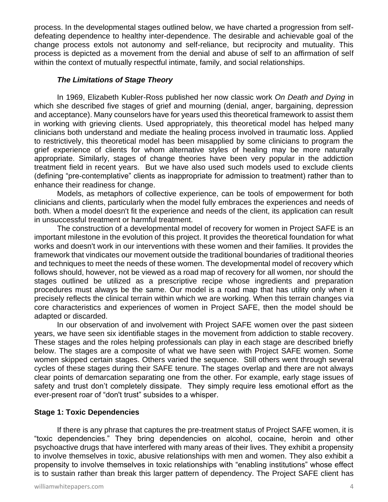process. In the developmental stages outlined below, we have charted a progression from selfdefeating dependence to healthy inter-dependence. The desirable and achievable goal of the change process extols not autonomy and self-reliance, but reciprocity and mutuality. This process is depicted as a movement from the denial and abuse of self to an affirmation of self within the context of mutually respectful intimate, family, and social relationships.

#### *The Limitations of Stage Theory*

In 1969, Elizabeth Kubler-Ross published her now classic work *On Death and Dying* in which she described five stages of grief and mourning (denial, anger, bargaining, depression and acceptance). Many counselors have for years used this theoretical framework to assist them in working with grieving clients. Used appropriately, this theoretical model has helped many clinicians both understand and mediate the healing process involved in traumatic loss. Applied to restrictively, this theoretical model has been misapplied by some clinicians to program the grief experience of clients for whom alternative styles of healing may be more naturally appropriate. Similarly, stages of change theories have been very popular in the addiction treatment field in recent years. But we have also used such models used to exclude clients (defining "pre-contemplative" clients as inappropriate for admission to treatment) rather than to enhance their readiness for change.

Models, as metaphors of collective experience, can be tools of empowerment for both clinicians and clients, particularly when the model fully embraces the experiences and needs of both. When a model doesn't fit the experience and needs of the client, its application can result in unsuccessful treatment or harmful treatment.

The construction of a developmental model of recovery for women in Project SAFE is an important milestone in the evolution of this project. It provides the theoretical foundation for what works and doesn't work in our interventions with these women and their families. It provides the framework that vindicates our movement outside the traditional boundaries of traditional theories and techniques to meet the needs of these women. The developmental model of recovery which follows should, however, not be viewed as a road map of recovery for all women, nor should the stages outlined be utilized as a prescriptive recipe whose ingredients and preparation procedures must always be the same. Our model is a road map that has utility only when it precisely reflects the clinical terrain within which we are working. When this terrain changes via core characteristics and experiences of women in Project SAFE, then the model should be adapted or discarded.

In our observation of and involvement with Project SAFE women over the past sixteen years, we have seen six identifiable stages in the movement from addiction to stable recovery. These stages and the roles helping professionals can play in each stage are described briefly below. The stages are a composite of what we have seen with Project SAFE women. Some women skipped certain stages. Others varied the sequence. Still others went through several cycles of these stages during their SAFE tenure. The stages overlap and there are not always clear points of demarcation separating one from the other. For example, early stage issues of safety and trust don't completely dissipate. They simply require less emotional effort as the ever-present roar of "don't trust" subsides to a whisper.

#### **Stage 1: Toxic Dependencies**

If there is any phrase that captures the pre-treatment status of Project SAFE women, it is "toxic dependencies." They bring dependencies on alcohol, cocaine, heroin and other psychoactive drugs that have interfered with many areas of their lives. They exhibit a propensity to involve themselves in toxic, abusive relationships with men and women. They also exhibit a propensity to involve themselves in toxic relationships with "enabling institutions" whose effect is to sustain rather than break this larger pattern of dependency. The Project SAFE client has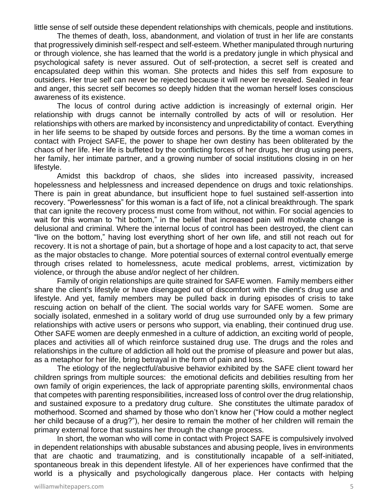little sense of self outside these dependent relationships with chemicals, people and institutions.

The themes of death, loss, abandonment, and violation of trust in her life are constants that progressively diminish self-respect and self-esteem. Whether manipulated through nurturing or through violence, she has learned that the world is a predatory jungle in which physical and psychological safety is never assured. Out of self-protection, a secret self is created and encapsulated deep within this woman. She protects and hides this self from exposure to outsiders. Her true self can never be rejected because it will never be revealed. Sealed in fear and anger, this secret self becomes so deeply hidden that the woman herself loses conscious awareness of its existence.

The locus of control during active addiction is increasingly of external origin. Her relationship with drugs cannot be internally controlled by acts of will or resolution. Her relationships with others are marked by inconsistency and unpredictability of contact. Everything in her life seems to be shaped by outside forces and persons. By the time a woman comes in contact with Project SAFE, the power to shape her own destiny has been obliterated by the chaos of her life. Her life is buffeted by the conflicting forces of her drugs, her drug using peers, her family, her intimate partner, and a growing number of social institutions closing in on her lifestyle.

Amidst this backdrop of chaos, she slides into increased passivity, increased hopelessness and helplessness and increased dependence on drugs and toxic relationships. There is pain in great abundance, but insufficient hope to fuel sustained self-assertion into recovery. "Powerlessness" for this woman is a fact of life, not a clinical breakthrough. The spark that can ignite the recovery process must come from without, not within. For social agencies to wait for this woman to "hit bottom," in the belief that increased pain will motivate change is delusional and criminal. Where the internal locus of control has been destroyed, the client can "live on the bottom," having lost everything short of her own life, and still not reach out for recovery. It is not a shortage of pain, but a shortage of hope and a lost capacity to act, that serve as the major obstacles to change. More potential sources of external control eventually emerge through crises related to homelessness, acute medical problems, arrest, victimization by violence, or through the abuse and/or neglect of her children.

Family of origin relationships are quite strained for SAFE women. Family members either share the client's lifestyle or have disengaged out of discomfort with the client's drug use and lifestyle. And yet, family members may be pulled back in during episodes of crisis to take rescuing action on behalf of the client. The social worlds vary for SAFE women. Some are socially isolated, enmeshed in a solitary world of drug use surrounded only by a few primary relationships with active users or persons who support, via enabling, their continued drug use. Other SAFE women are deeply enmeshed in a culture of addiction, an exciting world of people, places and activities all of which reinforce sustained drug use. The drugs and the roles and relationships in the culture of addiction all hold out the promise of pleasure and power but alas, as a metaphor for her life, bring betrayal in the form of pain and loss.

The etiology of the neglectful/abusive behavior exhibited by the SAFE client toward her children springs from multiple sources: the emotional deficits and debilities resulting from her own family of origin experiences, the lack of appropriate parenting skills, environmental chaos that competes with parenting responsibilities, increased loss of control over the drug relationship, and sustained exposure to a predatory drug culture. She constitutes the ultimate paradox of motherhood. Scorned and shamed by those who don't know her ("How could a mother neglect her child because of a drug?"), her desire to remain the mother of her children will remain the primary external force that sustains her through the change process.

In short, the woman who will come in contact with Project SAFE is compulsively involved in dependent relationships with abusable substances and abusing people, lives in environments that are chaotic and traumatizing, and is constitutionally incapable of a self-initiated, spontaneous break in this dependent lifestyle. All of her experiences have confirmed that the world is a physically and psychologically dangerous place. Her contacts with helping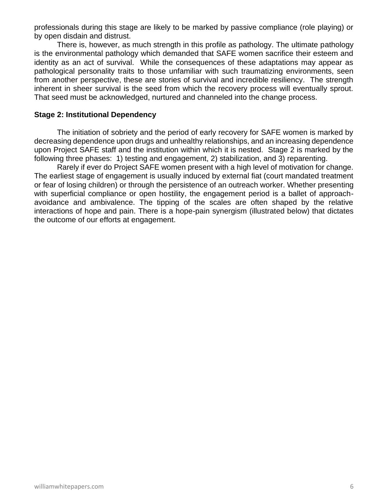professionals during this stage are likely to be marked by passive compliance (role playing) or by open disdain and distrust.

There is, however, as much strength in this profile as pathology. The ultimate pathology is the environmental pathology which demanded that SAFE women sacrifice their esteem and identity as an act of survival. While the consequences of these adaptations may appear as pathological personality traits to those unfamiliar with such traumatizing environments, seen from another perspective, these are stories of survival and incredible resiliency. The strength inherent in sheer survival is the seed from which the recovery process will eventually sprout. That seed must be acknowledged, nurtured and channeled into the change process.

#### **Stage 2: Institutional Dependency**

The initiation of sobriety and the period of early recovery for SAFE women is marked by decreasing dependence upon drugs and unhealthy relationships, and an increasing dependence upon Project SAFE staff and the institution within which it is nested. Stage 2 is marked by the following three phases: 1) testing and engagement, 2) stabilization, and 3) reparenting.

Rarely if ever do Project SAFE women present with a high level of motivation for change. The earliest stage of engagement is usually induced by external fiat (court mandated treatment or fear of losing children) or through the persistence of an outreach worker. Whether presenting with superficial compliance or open hostility, the engagement period is a ballet of approachavoidance and ambivalence. The tipping of the scales are often shaped by the relative interactions of hope and pain. There is a hope-pain synergism (illustrated below) that dictates the outcome of our efforts at engagement.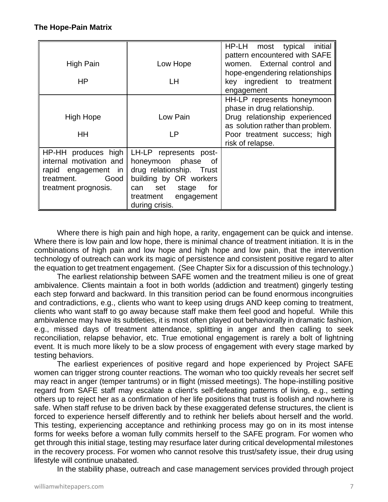## **The Hope-Pain Matrix**

| High Pain                                                                                                           | Low Hope                                                                                                                                                                          | initial<br>HP-LH most<br>typical<br>pattern encountered with SAFE<br>women. External control and<br>hope-engendering relationships |
|---------------------------------------------------------------------------------------------------------------------|-----------------------------------------------------------------------------------------------------------------------------------------------------------------------------------|------------------------------------------------------------------------------------------------------------------------------------|
| HP                                                                                                                  | LH                                                                                                                                                                                | key ingredient to treatment<br>engagement                                                                                          |
| <b>High Hope</b>                                                                                                    | Low Pain                                                                                                                                                                          | HH-LP represents honeymoon<br>phase in drug relationship.<br>Drug relationship experienced                                         |
| HH                                                                                                                  | LP                                                                                                                                                                                | as solution rather than problem.<br>Poor treatment success; high<br>risk of relapse.                                               |
| HP-HH produces high<br>internal motivation and<br>rapid engagement in<br>treatment.<br>Good<br>treatment prognosis. | LH-LP represents post-<br>honeymoon phase<br>_of<br>drug relationship. Trust<br>building by OR workers<br>for<br>set<br>stage<br>can<br>treatment<br>engagement<br>during crisis. |                                                                                                                                    |

Where there is high pain and high hope, a rarity, engagement can be quick and intense. Where there is low pain and low hope, there is minimal chance of treatment initiation. It is in the combinations of high pain and low hope and high hope and low pain, that the intervention technology of outreach can work its magic of persistence and consistent positive regard to alter the equation to get treatment engagement. (See Chapter Six for a discussion of this technology.)

The earliest relationship between SAFE women and the treatment milieu is one of great ambivalence. Clients maintain a foot in both worlds (addiction and treatment) gingerly testing each step forward and backward. In this transition period can be found enormous incongruities and contradictions, e.g., clients who want to keep using drugs AND keep coming to treatment, clients who want staff to go away because staff make them feel good and hopeful. While this ambivalence may have its subtleties, it is most often played out behaviorally in dramatic fashion, e.g., missed days of treatment attendance, splitting in anger and then calling to seek reconciliation, relapse behavior, etc. True emotional engagement is rarely a bolt of lightning event. It is much more likely to be a slow process of engagement with every stage marked by testing behaviors.

The earliest experiences of positive regard and hope experienced by Project SAFE women can trigger strong counter reactions. The woman who too quickly reveals her secret self may react in anger (temper tantrums) or in flight (missed meetings). The hope-instilling positive regard from SAFE staff may escalate a client's self-defeating patterns of living, e.g., setting others up to reject her as a confirmation of her life positions that trust is foolish and nowhere is safe. When staff refuse to be driven back by these exaggerated defense structures, the client is forced to experience herself differently and to rethink her beliefs about herself and the world. This testing, experiencing acceptance and rethinking process may go on in its most intense forms for weeks before a woman fully commits herself to the SAFE program. For women who get through this initial stage, testing may resurface later during critical developmental milestones in the recovery process. For women who cannot resolve this trust/safety issue, their drug using lifestyle will continue unabated.

In the stability phase, outreach and case management services provided through project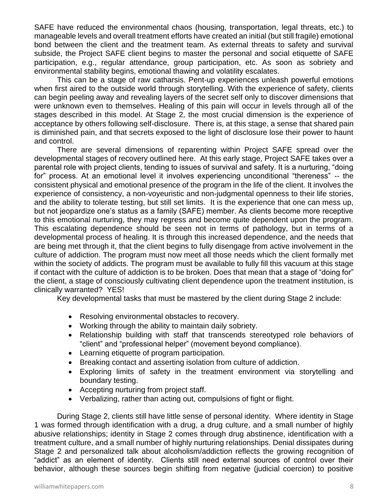SAFE have reduced the environmental chaos (housing, transportation, legal threats, etc.) to manageable levels and overall treatment efforts have created an initial (but still fragile) emotional bond between the client and the treatment team. As external threats to safety and survival subside, the Project SAFE client begins to master the personal and social etiquette of SAFE participation, e.g., regular attendance, group participation, etc. As soon as sobriety and environmental stability begins, emotional thawing and volatility escalates.

This can be a stage of raw catharsis. Pent-up experiences unleash powerful emotions when first aired to the outside world through storytelling. With the experience of safety, clients can begin peeling away and revealing layers of the secret self only to discover dimensions that were unknown even to themselves. Healing of this pain will occur in levels through all of the stages described in this model. At Stage 2, the most crucial dimension is the experience of acceptance by others following self-disclosure. There is, at this stage, a sense that shared pain is diminished pain, and that secrets exposed to the light of disclosure lose their power to haunt and control.

There are several dimensions of reparenting within Project SAFE spread over the developmental stages of recovery outlined here. At this early stage, Project SAFE takes over a parental role with project clients, tending to issues of survival and safety. It is a nurturing, "doing for" process. At an emotional level it involves experiencing unconditional "thereness" -- the consistent physical and emotional presence of the program in the life of the client. It involves the experience of consistency, a non-voyeuristic and non-judgmental openness to their life stories, and the ability to tolerate testing, but still set limits. It is the experience that one can mess up, but not jeopardize one's status as a family (SAFE) member. As clients become more receptive to this emotional nurturing, they may regress and become quite dependent upon the program. This escalating dependence should be seen not in terms of pathology, but in terms of a developmental process of healing. It is through this increased dependence, and the needs that are being met through it, that the client begins to fully disengage from active involvement in the culture of addiction. The program must now meet all those needs which the client formally met within the society of addicts. The program must be available to fully fill this vacuum at this stage if contact with the culture of addiction is to be broken. Does that mean that a stage of "doing for" the client, a stage of consciously cultivating client dependence upon the treatment institution, is clinically warranted? YES!

Key developmental tasks that must be mastered by the client during Stage 2 include:

- Resolving environmental obstacles to recovery.
- Working through the ability to maintain daily sobriety.
- Relationship building with staff that transcends stereotyped role behaviors of "client" and "professional helper" (movement beyond compliance).
- Learning etiquette of program participation.
- Breaking contact and asserting isolation from culture of addiction.
- Exploring limits of safety in the treatment environment via storytelling and boundary testing.
- Accepting nurturing from project staff.
- Verbalizing, rather than acting out, compulsions of fight or flight.

During Stage 2, clients still have little sense of personal identity. Where identity in Stage 1 was formed through identification with a drug, a drug culture, and a small number of highly abusive relationships; identity in Stage 2 comes through drug abstinence, identification with a treatment culture, and a small number of highly nurturing relationships. Denial dissipates during Stage 2 and personalized talk about alcoholism/addiction reflects the growing recognition of "addict" as an element of identity. Clients still need external sources of control over their behavior, although these sources begin shifting from negative (judicial coercion) to positive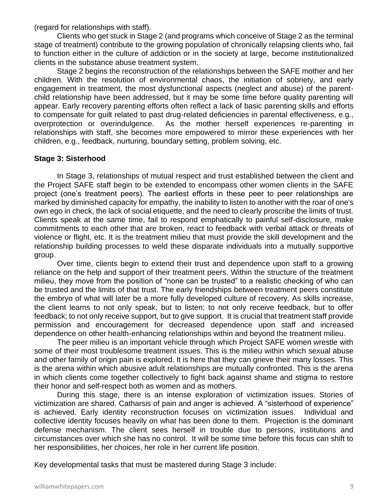(regard for relationships with staff).

Clients who get stuck in Stage 2 (and programs which conceive of Stage 2 as the terminal stage of treatment) contribute to the growing population of chronically relapsing clients who, fail to function either in the culture of addiction or in the society at large, become institutionalized clients in the substance abuse treatment system.

Stage 2 begins the reconstruction of the relationships between the SAFE mother and her children. With the resolution of environmental chaos, the initiation of sobriety, and early engagement in treatment, the most dysfunctional aspects (neglect and abuse) of the parentchild relationship have been addressed, but it may be some time before quality parenting will appear. Early recovery parenting efforts often reflect a lack of basic parenting skills and efforts to compensate for guilt related to past drug-related deficiencies in parental effectiveness, e.g., overprotection or overindulgence. As the mother herself experiences re-parenting in relationships with staff, she becomes more empowered to mirror these experiences with her children, e.g., feedback, nurturing, boundary setting, problem solving, etc.

## **Stage 3: Sisterhood**

In Stage 3, relationships of mutual respect and trust established between the client and the Project SAFE staff begin to be extended to encompass other women clients in the SAFE project (one's treatment peers). The earliest efforts in these peer to peer relationships are marked by diminished capacity for empathy, the inability to listen to another with the roar of one's own ego in check, the lack of social etiquette, and the need to clearly proscribe the limits of trust. Clients speak at the same time, fail to respond emphatically to painful self-disclosure, make commitments to each other that are broken, react to feedback with verbal attack or threats of violence or flight, etc. It is the treatment milieu that must provide the skill development and the relationship building processes to weld these disparate individuals into a mutually supportive group.

Over time, clients begin to extend their trust and dependence upon staff to a growing reliance on the help and support of their treatment peers. Within the structure of the treatment milieu, they move from the position of "none can be trusted" to a realistic checking of who can be trusted and the limits of that trust. The early friendships between treatment peers constitute the embryo of what will later be a more fully developed culture of recovery. As skills increase, the client learns to not only speak, but to listen; to not only receive feedback, but to offer feedback; to not only receive support, but to give support. It is crucial that treatment staff provide permission and encouragement for decreased dependence upon staff and increased dependence on other health-enhancing relationships within and beyond the treatment milieu.

The peer milieu is an important vehicle through which Project SAFE women wrestle with some of their most troublesome treatment issues. This is the milieu within which sexual abuse and other family of origin pain is explored. It is here that they can grieve their many losses. This is the arena within which abusive adult relationships are mutually confronted. This is the arena in which clients come together collectively to fight back against shame and stigma to restore their honor and self-respect both as women and as mothers.

During this stage, there is an intense exploration of victimization issues. Stories of victimization are shared. Catharsis of pain and anger is achieved. A "sisterhood of experience" is achieved. Early identity reconstruction focuses on victimization issues. Individual and collective identity focuses heavily on what has been done to them. Projection is the dominant defense mechanism. The client sees herself in trouble due to persons, institutions and circumstances over which she has no control. It will be some time before this focus can shift to her responsibilities, her choices, her role in her current life position.

Key developmental tasks that must be mastered during Stage 3 include: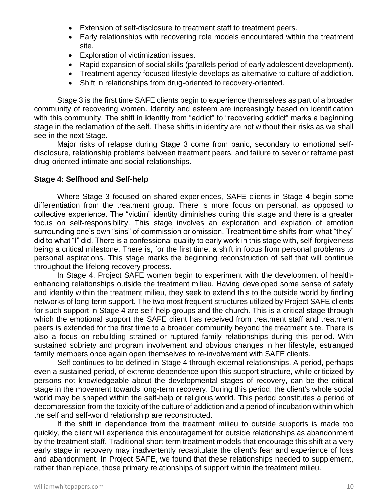- Extension of self-disclosure to treatment staff to treatment peers.
- Early relationships with recovering role models encountered within the treatment site.
- Exploration of victimization issues.
- Rapid expansion of social skills (parallels period of early adolescent development).
- Treatment agency focused lifestyle develops as alternative to culture of addiction.
- Shift in relationships from drug-oriented to recovery-oriented.

Stage 3 is the first time SAFE clients begin to experience themselves as part of a broader community of recovering women. Identity and esteem are increasingly based on identification with this community. The shift in identity from "addict" to "recovering addict" marks a beginning stage in the reclamation of the self. These shifts in identity are not without their risks as we shall see in the next Stage.

Major risks of relapse during Stage 3 come from panic, secondary to emotional selfdisclosure, relationship problems between treatment peers, and failure to sever or reframe past drug-oriented intimate and social relationships.

#### **Stage 4: Selfhood and Self-help**

Where Stage 3 focused on shared experiences, SAFE clients in Stage 4 begin some differentiation from the treatment group. There is more focus on personal, as opposed to collective experience. The "victim" identity diminishes during this stage and there is a greater focus on self-responsibility. This stage involves an exploration and expiation of emotion surrounding one's own "sins" of commission or omission. Treatment time shifts from what "they" did to what "I" did. There is a confessional quality to early work in this stage with, self-forgiveness being a critical milestone. There is, for the first time, a shift in focus from personal problems to personal aspirations. This stage marks the beginning reconstruction of self that will continue throughout the lifelong recovery process.

In Stage 4, Project SAFE women begin to experiment with the development of healthenhancing relationships outside the treatment milieu. Having developed some sense of safety and identity within the treatment milieu, they seek to extend this to the outside world by finding networks of long-term support. The two most frequent structures utilized by Project SAFE clients for such support in Stage 4 are self-help groups and the church. This is a critical stage through which the emotional support the SAFE client has received from treatment staff and treatment peers is extended for the first time to a broader community beyond the treatment site. There is also a focus on rebuilding strained or ruptured family relationships during this period. With sustained sobriety and program involvement and obvious changes in her lifestyle, estranged family members once again open themselves to re-involvement with SAFE clients.

Self continues to be defined in Stage 4 through external relationships. A period, perhaps even a sustained period, of extreme dependence upon this support structure, while criticized by persons not knowledgeable about the developmental stages of recovery, can be the critical stage in the movement towards long-term recovery. During this period, the client's whole social world may be shaped within the self-help or religious world. This period constitutes a period of decompression from the toxicity of the culture of addiction and a period of incubation within which the self and self-world relationship are reconstructed.

If the shift in dependence from the treatment milieu to outside supports is made too quickly, the client will experience this encouragement for outside relationships as abandonment by the treatment staff. Traditional short-term treatment models that encourage this shift at a very early stage in recovery may inadvertently recapitulate the client's fear and experience of loss and abandonment. In Project SAFE, we found that these relationships needed to supplement, rather than replace, those primary relationships of support within the treatment milieu.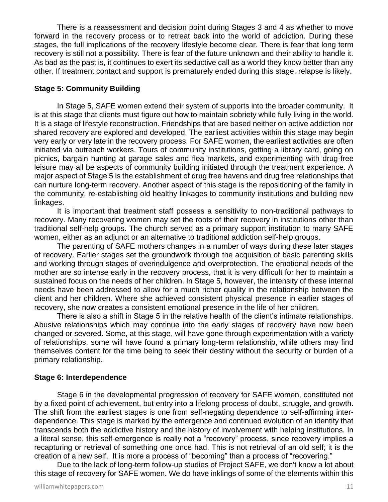There is a reassessment and decision point during Stages 3 and 4 as whether to move forward in the recovery process or to retreat back into the world of addiction. During these stages, the full implications of the recovery lifestyle become clear. There is fear that long term recovery is still not a possibility. There is fear of the future unknown and their ability to handle it. As bad as the past is, it continues to exert its seductive call as a world they know better than any other. If treatment contact and support is prematurely ended during this stage, relapse is likely.

#### **Stage 5: Community Building**

In Stage 5, SAFE women extend their system of supports into the broader community. It is at this stage that clients must figure out how to maintain sobriety while fully living in the world. It is a stage of lifestyle reconstruction. Friendships that are based neither on active addiction nor shared recovery are explored and developed. The earliest activities within this stage may begin very early or very late in the recovery process. For SAFE women, the earliest activities are often initiated via outreach workers. Tours of community institutions, getting a library card, going on picnics, bargain hunting at garage sales and flea markets, and experimenting with drug-free leisure may all be aspects of community building initiated through the treatment experience. A major aspect of Stage 5 is the establishment of drug free havens and drug free relationships that can nurture long-term recovery. Another aspect of this stage is the repositioning of the family in the community, re-establishing old healthy linkages to community institutions and building new linkages.

It is important that treatment staff possess a sensitivity to non-traditional pathways to recovery. Many recovering women may set the roots of their recovery in institutions other than traditional self-help groups. The church served as a primary support institution to many SAFE women, either as an adjunct or an alternative to traditional addiction self-help groups.

The parenting of SAFE mothers changes in a number of ways during these later stages of recovery. Earlier stages set the groundwork through the acquisition of basic parenting skills and working through stages of overindulgence and overprotection. The emotional needs of the mother are so intense early in the recovery process, that it is very difficult for her to maintain a sustained focus on the needs of her children. In Stage 5, however, the intensity of these internal needs have been addressed to allow for a much richer quality in the relationship between the client and her children. Where she achieved consistent physical presence in earlier stages of recovery, she now creates a consistent emotional presence in the life of her children.

There is also a shift in Stage 5 in the relative health of the client's intimate relationships. Abusive relationships which may continue into the early stages of recovery have now been changed or severed. Some, at this stage, will have gone through experimentation with a variety of relationships, some will have found a primary long-term relationship, while others may find themselves content for the time being to seek their destiny without the security or burden of a primary relationship.

#### **Stage 6: Interdependence**

Stage 6 in the developmental progression of recovery for SAFE women, constituted not by a fixed point of achievement, but entry into a lifelong process of doubt, struggle, and growth. The shift from the earliest stages is one from self-negating dependence to self-affirming interdependence. This stage is marked by the emergence and continued evolution of an identity that transcends both the addictive history and the history of involvement with helping institutions. In a literal sense, this self-emergence is really not a "recovery" process, since recovery implies a recapturing or retrieval of something one once had. This is not retrieval of an old self; it is the creation of a new self. It is more a process of "becoming" than a process of "recovering."

Due to the lack of long-term follow-up studies of Project SAFE, we don't know a lot about this stage of recovery for SAFE women. We do have inklings of some of the elements within this